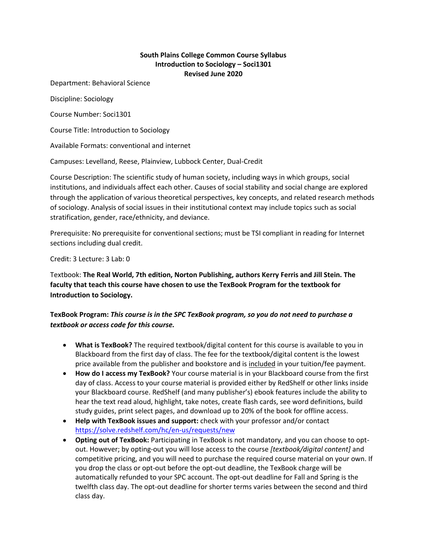## **South Plains College Common Course Syllabus Introduction to Sociology – Soci1301 Revised June 2020**

Department: Behavioral Science

Discipline: Sociology

Course Number: Soci1301

Course Title: Introduction to Sociology

Available Formats: conventional and internet

Campuses: Levelland, Reese, Plainview, Lubbock Center, Dual-Credit

Course Description: The scientific study of human society, including ways in which groups, social institutions, and individuals affect each other. Causes of social stability and social change are explored through the application of various theoretical perspectives, key concepts, and related research methods of sociology. Analysis of social issues in their institutional context may include topics such as social stratification, gender, race/ethnicity, and deviance.

Prerequisite: No prerequisite for conventional sections; must be TSI compliant in reading for Internet sections including dual credit.

Credit: 3 Lecture: 3 Lab: 0

Textbook: **The Real World, 7th edition, Norton Publishing, authors Kerry Ferris and Jill Stein. The faculty that teach this course have chosen to use the TexBook Program for the textbook for Introduction to Sociology.** 

## **TexBook Program:** *This course is in the SPC TexBook program, so you do not need to purchase a textbook or access code for this course.*

- **What is TexBook?** The required textbook/digital content for this course is available to you in Blackboard from the first day of class. The fee for the textbook/digital content is the lowest price available from the publisher and bookstore and is included in your tuition/fee payment.
- **How do I access my TexBook?** Your course material is in your Blackboard course from the first day of class. Access to your course material is provided either by RedShelf or other links inside your Blackboard course. RedShelf (and many publisher's) ebook features include the ability to hear the text read aloud, highlight, take notes, create flash cards, see word definitions, build study guides, print select pages, and download up to 20% of the book for offline access.
- **Help with TexBook issues and support:** check with your professor and/or contact <https://solve.redshelf.com/hc/en-us/requests/new>
- **Opting out of TexBook:** Participating in TexBook is not mandatory, and you can choose to optout. However; by opting-out you will lose access to the course *[textbook/digital content]* and competitive pricing, and you will need to purchase the required course material on your own. If you drop the class or opt-out before the opt-out deadline, the TexBook charge will be automatically refunded to your SPC account. The opt-out deadline for Fall and Spring is the twelfth class day. The opt-out deadline for shorter terms varies between the second and third class day.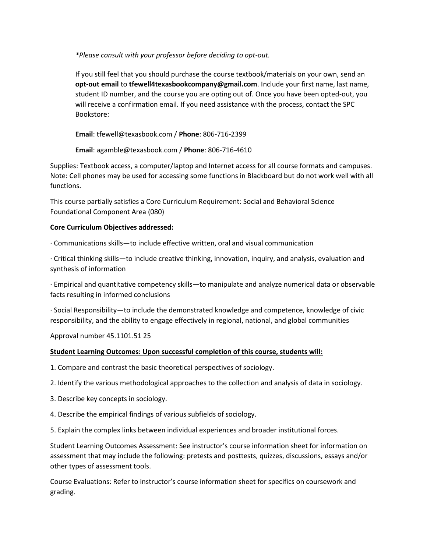*\*Please consult with your professor before deciding to opt-out.*

If you still feel that you should purchase the course textbook/materials on your own, send an **opt-out email** to **tfewell4texasbookcompany@gmail.com**. Include your first name, last name, student ID number, and the course you are opting out of. Once you have been opted-out, you will receive a confirmation email. If you need assistance with the process, contact the SPC Bookstore:

**Email**: tfewell@texasbook.com / **Phone**: 806-716-2399

**Email**: agamble@texasbook.com / **Phone**: 806-716-4610

Supplies: Textbook access, a computer/laptop and Internet access for all course formats and campuses. Note: Cell phones may be used for accessing some functions in Blackboard but do not work well with all functions.

This course partially satisfies a Core Curriculum Requirement: Social and Behavioral Science Foundational Component Area (080)

#### **Core Curriculum Objectives addressed:**

· Communications skills—to include effective written, oral and visual communication

· Critical thinking skills—to include creative thinking, innovation, inquiry, and analysis, evaluation and synthesis of information

· Empirical and quantitative competency skills—to manipulate and analyze numerical data or observable facts resulting in informed conclusions

· Social Responsibility—to include the demonstrated knowledge and competence, knowledge of civic responsibility, and the ability to engage effectively in regional, national, and global communities

Approval number 45.1101.51 25

#### **Student Learning Outcomes: Upon successful completion of this course, students will:**

1. Compare and contrast the basic theoretical perspectives of sociology.

2. Identify the various methodological approaches to the collection and analysis of data in sociology.

3. Describe key concepts in sociology.

4. Describe the empirical findings of various subfields of sociology.

5. Explain the complex links between individual experiences and broader institutional forces.

Student Learning Outcomes Assessment: See instructor's course information sheet for information on assessment that may include the following: pretests and posttests, quizzes, discussions, essays and/or other types of assessment tools.

Course Evaluations: Refer to instructor's course information sheet for specifics on coursework and grading.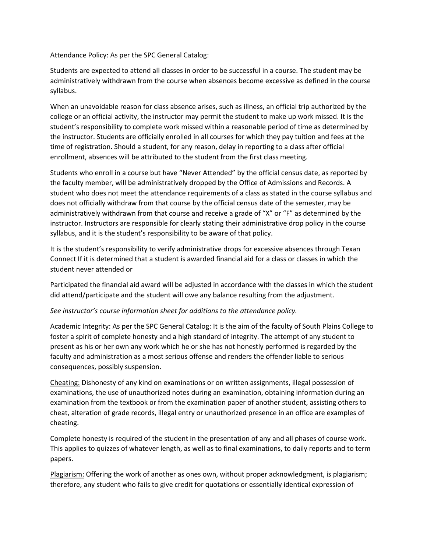Attendance Policy: As per the SPC General Catalog:

Students are expected to attend all classes in order to be successful in a course. The student may be administratively withdrawn from the course when absences become excessive as defined in the course syllabus.

When an unavoidable reason for class absence arises, such as illness, an official trip authorized by the college or an official activity, the instructor may permit the student to make up work missed. It is the student's responsibility to complete work missed within a reasonable period of time as determined by the instructor. Students are officially enrolled in all courses for which they pay tuition and fees at the time of registration. Should a student, for any reason, delay in reporting to a class after official enrollment, absences will be attributed to the student from the first class meeting.

Students who enroll in a course but have "Never Attended" by the official census date, as reported by the faculty member, will be administratively dropped by the Office of Admissions and Records. A student who does not meet the attendance requirements of a class as stated in the course syllabus and does not officially withdraw from that course by the official census date of the semester, may be administratively withdrawn from that course and receive a grade of "X" or "F" as determined by the instructor. Instructors are responsible for clearly stating their administrative drop policy in the course syllabus, and it is the student's responsibility to be aware of that policy.

It is the student's responsibility to verify administrative drops for excessive absences through Texan Connect If it is determined that a student is awarded financial aid for a class or classes in which the student never attended or

Participated the financial aid award will be adjusted in accordance with the classes in which the student did attend/participate and the student will owe any balance resulting from the adjustment.

#### *See instructor's course information sheet for additions to the attendance policy.*

Academic Integrity: As per the SPC General Catalog: It is the aim of the faculty of South Plains College to foster a spirit of complete honesty and a high standard of integrity. The attempt of any student to present as his or her own any work which he or she has not honestly performed is regarded by the faculty and administration as a most serious offense and renders the offender liable to serious consequences, possibly suspension.

Cheating: Dishonesty of any kind on examinations or on written assignments, illegal possession of examinations, the use of unauthorized notes during an examination, obtaining information during an examination from the textbook or from the examination paper of another student, assisting others to cheat, alteration of grade records, illegal entry or unauthorized presence in an office are examples of cheating.

Complete honesty is required of the student in the presentation of any and all phases of course work. This applies to quizzes of whatever length, as well as to final examinations, to daily reports and to term papers.

Plagiarism: Offering the work of another as ones own, without proper acknowledgment, is plagiarism; therefore, any student who fails to give credit for quotations or essentially identical expression of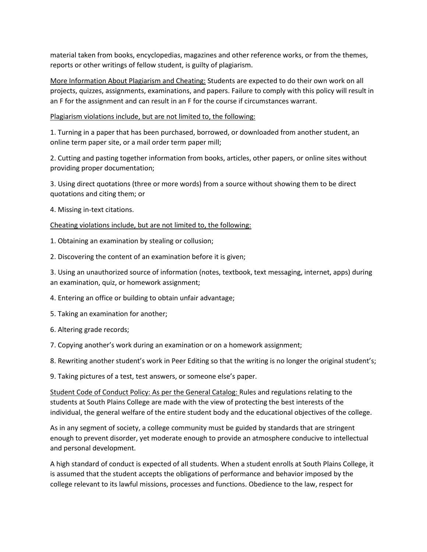material taken from books, encyclopedias, magazines and other reference works, or from the themes, reports or other writings of fellow student, is guilty of plagiarism.

More Information About Plagiarism and Cheating: Students are expected to do their own work on all projects, quizzes, assignments, examinations, and papers. Failure to comply with this policy will result in an F for the assignment and can result in an F for the course if circumstances warrant.

Plagiarism violations include, but are not limited to, the following:

1. Turning in a paper that has been purchased, borrowed, or downloaded from another student, an online term paper site, or a mail order term paper mill;

2. Cutting and pasting together information from books, articles, other papers, or online sites without providing proper documentation;

3. Using direct quotations (three or more words) from a source without showing them to be direct quotations and citing them; or

4. Missing in-text citations.

Cheating violations include, but are not limited to, the following:

1. Obtaining an examination by stealing or collusion;

2. Discovering the content of an examination before it is given;

3. Using an unauthorized source of information (notes, textbook, text messaging, internet, apps) during an examination, quiz, or homework assignment;

4. Entering an office or building to obtain unfair advantage;

5. Taking an examination for another;

6. Altering grade records;

7. Copying another's work during an examination or on a homework assignment;

8. Rewriting another student's work in Peer Editing so that the writing is no longer the original student's;

9. Taking pictures of a test, test answers, or someone else's paper.

Student Code of Conduct Policy: As per the General Catalog: Rules and regulations relating to the students at South Plains College are made with the view of protecting the best interests of the individual, the general welfare of the entire student body and the educational objectives of the college.

As in any segment of society, a college community must be guided by standards that are stringent enough to prevent disorder, yet moderate enough to provide an atmosphere conducive to intellectual and personal development.

A high standard of conduct is expected of all students. When a student enrolls at South Plains College, it is assumed that the student accepts the obligations of performance and behavior imposed by the college relevant to its lawful missions, processes and functions. Obedience to the law, respect for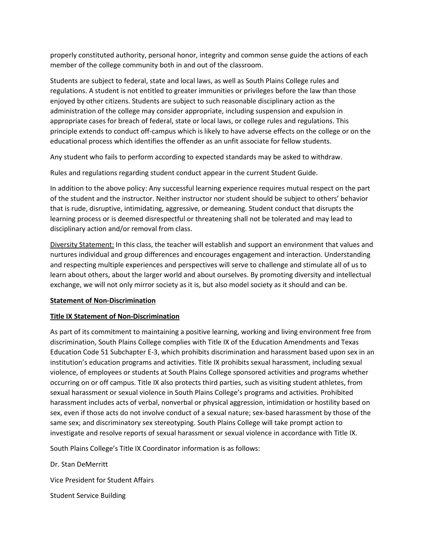properly constituted authority, personal honor, integrity and common sense guide the actions of each member of the college community both in and out of the classroom.

Students are subject to federal, state and local laws, as well as South Plains College rules and regulations. A student is not entitled to greater immunities or privileges before the law than those enjoyed by other citizens. Students are subject to such reasonable disciplinary action as the administration of the college may consider appropriate, including suspension and expulsion in appropriate cases for breach of federal, state or local laws, or college rules and regulations. This principle extends to conduct off-campus which is likely to have adverse effects on the college or on the educational process which identifies the offender as an unfit associate for fellow students.

Any student who fails to perform according to expected standards may be asked to withdraw.

Rules and regulations regarding student conduct appear in the current Student Guide.

In addition to the above policy: Any successful learning experience requires mutual respect on the part of the student and the instructor. Neither instructor nor student should be subject to others' behavior that is rude, disruptive, intimidating, aggressive, or demeaning. Student conduct that disrupts the learning process or is deemed disrespectful or threatening shall not be tolerated and may lead to disciplinary action and/or removal from class.

Diversity Statement: In this class, the teacher will establish and support an environment that values and nurtures individual and group differences and encourages engagement and interaction. Understanding and respecting multiple experiences and perspectives will serve to challenge and stimulate all of us to learn about others, about the larger world and about ourselves. By promoting diversity and intellectual exchange, we will not only mirror society as it is, but also model society as it should and can be.

#### **Statement of Non-Discrimination**

#### **Title IX Statement of Non-Discrimination**

As part of its commitment to maintaining a positive learning, working and living environment free from discrimination, South Plains College complies with Title IX of the Education Amendments and Texas Education Code 51 Subchapter E-3, which prohibits discrimination and harassment based upon sex in an institution's education programs and activities. Title IX prohibits sexual harassment, including sexual violence, of employees or students at South Plains College sponsored activities and programs whether occurring on or off campus. Title IX also protects third parties, such as visiting student athletes, from sexual harassment or sexual violence in South Plains College's programs and activities. Prohibited harassment includes acts of verbal, nonverbal or physical aggression, intimidation or hostility based on sex, even if those acts do not involve conduct of a sexual nature; sex-based harassment by those of the same sex; and discriminatory sex stereotyping. South Plains College will take prompt action to investigate and resolve reports of sexual harassment or sexual violence in accordance with Title IX.

South Plains College's Title IX Coordinator information is as follows:

Dr. Stan DeMerritt

Vice President for Student Affairs

Student Service Building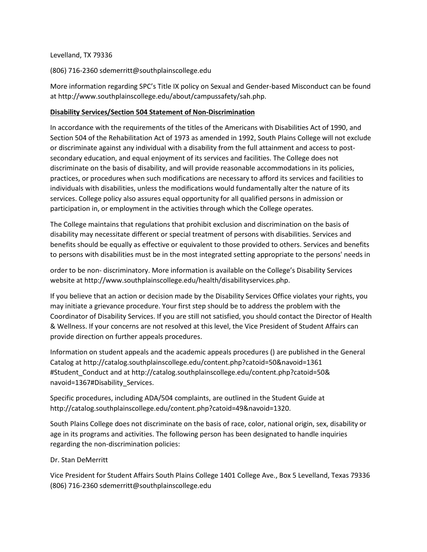#### Levelland, TX 79336

(806) 716-2360 sdemerritt@southplainscollege.edu

More information regarding SPC's Title IX policy on Sexual and Gender-based Misconduct can be found at http://www.southplainscollege.edu/about/campussafety/sah.php.

### **Disability Services/Section 504 Statement of Non-Discrimination**

In accordance with the requirements of the titles of the Americans with Disabilities Act of 1990, and Section 504 of the Rehabilitation Act of 1973 as amended in 1992, South Plains College will not exclude or discriminate against any individual with a disability from the full attainment and access to postsecondary education, and equal enjoyment of its services and facilities. The College does not discriminate on the basis of disability, and will provide reasonable accommodations in its policies, practices, or procedures when such modifications are necessary to afford its services and facilities to individuals with disabilities, unless the modifications would fundamentally alter the nature of its services. College policy also assures equal opportunity for all qualified persons in admission or participation in, or employment in the activities through which the College operates.

The College maintains that regulations that prohibit exclusion and discrimination on the basis of disability may necessitate different or special treatment of persons with disabilities. Services and benefits should be equally as effective or equivalent to those provided to others. Services and benefits to persons with disabilities must be in the most integrated setting appropriate to the persons' needs in

order to be non- discriminatory. More information is available on the College's Disability Services website at http://www.southplainscollege.edu/health/disabilityservices.php.

If you believe that an action or decision made by the Disability Services Office violates your rights, you may initiate a grievance procedure. Your first step should be to address the problem with the Coordinator of Disability Services. If you are still not satisfied, you should contact the Director of Health & Wellness. If your concerns are not resolved at this level, the Vice President of Student Affairs can provide direction on further appeals procedures.

Information on student appeals and the academic appeals procedures () are published in the General Catalog at http://catalog.southplainscollege.edu/content.php?catoid=50&navoid=1361 #Student\_Conduct and at http://catalog.southplainscollege.edu/content.php?catoid=50& navoid=1367#Disability\_Services.

Specific procedures, including ADA/504 complaints, are outlined in the Student Guide at http://catalog.southplainscollege.edu/content.php?catoid=49&navoid=1320.

South Plains College does not discriminate on the basis of race, color, national origin, sex, disability or age in its programs and activities. The following person has been designated to handle inquiries regarding the non-discrimination policies:

#### Dr. Stan DeMerritt

Vice President for Student Affairs South Plains College 1401 College Ave., Box 5 Levelland, Texas 79336 (806) 716-2360 sdemerritt@southplainscollege.edu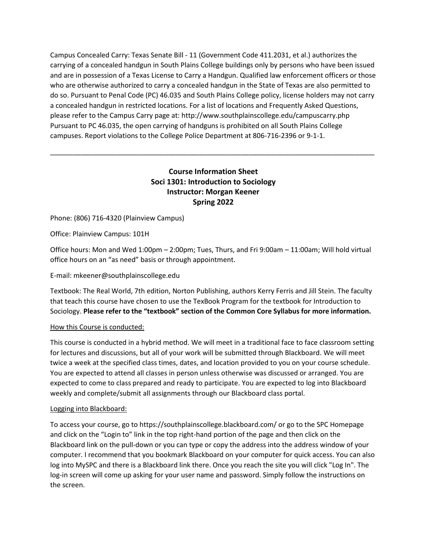Campus Concealed Carry: Texas Senate Bill - 11 (Government Code 411.2031, et al.) authorizes the carrying of a concealed handgun in South Plains College buildings only by persons who have been issued and are in possession of a Texas License to Carry a Handgun. Qualified law enforcement officers or those who are otherwise authorized to carry a concealed handgun in the State of Texas are also permitted to do so. Pursuant to Penal Code (PC) 46.035 and South Plains College policy, license holders may not carry a concealed handgun in restricted locations. For a list of locations and Frequently Asked Questions, please refer to the Campus Carry page at: http://www.southplainscollege.edu/campuscarry.php Pursuant to PC 46.035, the open carrying of handguns is prohibited on all South Plains College campuses. Report violations to the College Police Department at 806-716-2396 or 9-1-1.

# **Course Information Sheet Soci 1301: Introduction to Sociology Instructor: Morgan Keener Spring 2022**

\_\_\_\_\_\_\_\_\_\_\_\_\_\_\_\_\_\_\_\_\_\_\_\_\_\_\_\_\_\_\_\_\_\_\_\_\_\_\_\_\_\_\_\_\_\_\_\_\_\_\_\_\_\_\_\_\_\_\_\_\_\_\_\_\_\_\_\_\_\_\_\_\_\_\_\_\_\_\_\_\_\_\_\_\_

## Phone: (806) 716-4320 (Plainview Campus)

Office: Plainview Campus: 101H

Office hours: Mon and Wed 1:00pm – 2:00pm; Tues, Thurs, and Fri 9:00am – 11:00am; Will hold virtual office hours on an "as need" basis or through appointment.

## E-mail: mkeener@southplainscollege.edu

Textbook: The Real World, 7th edition, Norton Publishing, authors Kerry Ferris and Jill Stein. The faculty that teach this course have chosen to use the TexBook Program for the textbook for Introduction to Sociology. **Please refer to the "textbook" section of the Common Core Syllabus for more information.**

#### How this Course is conducted:

This course is conducted in a hybrid method. We will meet in a traditional face to face classroom setting for lectures and discussions, but all of your work will be submitted through Blackboard. We will meet twice a week at the specified class times, dates, and location provided to you on your course schedule. You are expected to attend all classes in person unless otherwise was discussed or arranged. You are expected to come to class prepared and ready to participate. You are expected to log into Blackboard weekly and complete/submit all assignments through our Blackboard class portal.

#### Logging into Blackboard:

To access your course, go to https://southplainscollege.blackboard.com/ or go to the SPC Homepage and click on the "Login to" link in the top right-hand portion of the page and then click on the Blackboard link on the pull-down or you can type or copy the address into the address window of your computer. I recommend that you bookmark Blackboard on your computer for quick access. You can also log into MySPC and there is a Blackboard link there. Once you reach the site you will click "Log In". The log-in screen will come up asking for your user name and password. Simply follow the instructions on the screen.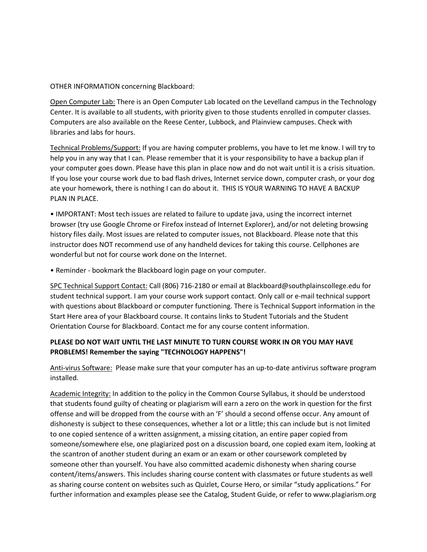OTHER INFORMATION concerning Blackboard:

Open Computer Lab: There is an Open Computer Lab located on the Levelland campus in the Technology Center. It is available to all students, with priority given to those students enrolled in computer classes. Computers are also available on the Reese Center, Lubbock, and Plainview campuses. Check with libraries and labs for hours.

Technical Problems/Support: If you are having computer problems, you have to let me know. I will try to help you in any way that I can. Please remember that it is your responsibility to have a backup plan if your computer goes down. Please have this plan in place now and do not wait until it is a crisis situation. If you lose your course work due to bad flash drives, Internet service down, computer crash, or your dog ate your homework, there is nothing I can do about it. THIS IS YOUR WARNING TO HAVE A BACKUP PLAN IN PLACE.

• IMPORTANT: Most tech issues are related to failure to update java, using the incorrect internet browser (try use Google Chrome or Firefox instead of Internet Explorer), and/or not deleting browsing history files daily. Most issues are related to computer issues, not Blackboard. Please note that this instructor does NOT recommend use of any handheld devices for taking this course. Cellphones are wonderful but not for course work done on the Internet.

• Reminder - bookmark the Blackboard login page on your computer.

SPC Technical Support Contact: Call (806) 716-2180 or email at Blackboard@southplainscollege.edu for student technical support. I am your course work support contact. Only call or e-mail technical support with questions about Blackboard or computer functioning. There is Technical Support information in the Start Here area of your Blackboard course. It contains links to Student Tutorials and the Student Orientation Course for Blackboard. Contact me for any course content information.

## **PLEASE DO NOT WAIT UNTIL THE LAST MINUTE TO TURN COURSE WORK IN OR YOU MAY HAVE PROBLEMS! Remember the saying "TECHNOLOGY HAPPENS"!**

Anti-virus Software: Please make sure that your computer has an up-to-date antivirus software program installed.

Academic Integrity: In addition to the policy in the Common Course Syllabus, it should be understood that students found guilty of cheating or plagiarism will earn a zero on the work in question for the first offense and will be dropped from the course with an 'F' should a second offense occur. Any amount of dishonesty is subject to these consequences, whether a lot or a little; this can include but is not limited to one copied sentence of a written assignment, a missing citation, an entire paper copied from someone/somewhere else, one plagiarized post on a discussion board, one copied exam item, looking at the scantron of another student during an exam or an exam or other coursework completed by someone other than yourself. You have also committed academic dishonesty when sharing course content/items/answers. This includes sharing course content with classmates or future students as well as sharing course content on websites such as Quizlet, Course Hero, or similar "study applications." For further information and examples please see the Catalog, Student Guide, or refer to www.plagiarism.org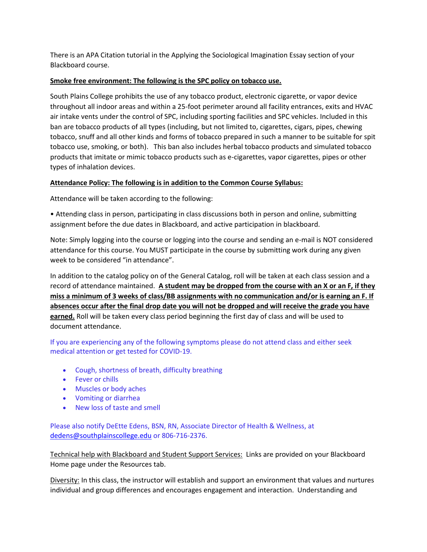There is an APA Citation tutorial in the Applying the Sociological Imagination Essay section of your Blackboard course.

## **Smoke free environment: The following is the SPC policy on tobacco use.**

South Plains College prohibits the use of any tobacco product, electronic cigarette, or vapor device throughout all indoor areas and within a 25-foot perimeter around all facility entrances, exits and HVAC air intake vents under the control of SPC, including sporting facilities and SPC vehicles. Included in this ban are tobacco products of all types (including, but not limited to, cigarettes, cigars, pipes, chewing tobacco, snuff and all other kinds and forms of tobacco prepared in such a manner to be suitable for spit tobacco use, smoking, or both). This ban also includes herbal tobacco products and simulated tobacco products that imitate or mimic tobacco products such as e-cigarettes, vapor cigarettes, pipes or other types of inhalation devices.

## **Attendance Policy: The following is in addition to the Common Course Syllabus:**

Attendance will be taken according to the following:

• Attending class in person, participating in class discussions both in person and online, submitting assignment before the due dates in Blackboard, and active participation in blackboard.

Note: Simply logging into the course or logging into the course and sending an e-mail is NOT considered attendance for this course. You MUST participate in the course by submitting work during any given week to be considered "in attendance".

In addition to the catalog policy on of the General Catalog, roll will be taken at each class session and a record of attendance maintained. **A student may be dropped from the course with an X or an F, if they miss a minimum of 3 weeks of class/BB assignments with no communication and/or is earning an F. If absences occur after the final drop date you will not be dropped and will receive the grade you have earned.** Roll will be taken every class period beginning the first day of class and will be used to document attendance.

If you are experiencing any of the following symptoms please do not attend class and either seek medical attention or get tested for COVID-19.

- Cough, shortness of breath, difficulty breathing
- Fever or chills
- Muscles or body aches
- Vomiting or diarrhea
- New loss of taste and smell

Please also notify DeEtte Edens, BSN, RN, Associate Director of Health & Wellness, at [dedens@southplainscollege.edu](mailto:dedens@southplainscollege.edu) or 806-716-2376.

Technical help with Blackboard and Student Support Services: Links are provided on your Blackboard Home page under the Resources tab.

Diversity: In this class, the instructor will establish and support an environment that values and nurtures individual and group differences and encourages engagement and interaction. Understanding and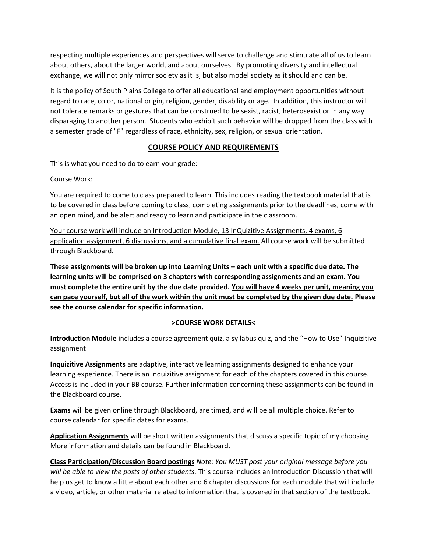respecting multiple experiences and perspectives will serve to challenge and stimulate all of us to learn about others, about the larger world, and about ourselves. By promoting diversity and intellectual exchange, we will not only mirror society as it is, but also model society as it should and can be.

It is the policy of South Plains College to offer all educational and employment opportunities without regard to race, color, national origin, religion, gender, disability or age. In addition, this instructor will not tolerate remarks or gestures that can be construed to be sexist, racist, heterosexist or in any way disparaging to another person. Students who exhibit such behavior will be dropped from the class with a semester grade of "F" regardless of race, ethnicity, sex, religion, or sexual orientation.

## **COURSE POLICY AND REQUIREMENTS**

This is what you need to do to earn your grade:

Course Work:

You are required to come to class prepared to learn. This includes reading the textbook material that is to be covered in class before coming to class, completing assignments prior to the deadlines, come with an open mind, and be alert and ready to learn and participate in the classroom.

Your course work will include an Introduction Module, 13 InQuizitive Assignments, 4 exams, 6 application assignment, 6 discussions, and a cumulative final exam. All course work will be submitted through Blackboard.

**These assignments will be broken up into Learning Units – each unit with a specific due date. The learning units will be comprised on 3 chapters with corresponding assignments and an exam. You must complete the entire unit by the due date provided. You will have 4 weeks per unit, meaning you can pace yourself, but all of the work within the unit must be completed by the given due date. Please see the course calendar for specific information.**

## **>COURSE WORK DETAILS<**

**Introduction Module** includes a course agreement quiz, a syllabus quiz, and the "How to Use" Inquizitive assignment

**Inquizitive Assignments** are adaptive, interactive learning assignments designed to enhance your learning experience. There is an Inquizitive assignment for each of the chapters covered in this course. Access is included in your BB course. Further information concerning these assignments can be found in the Blackboard course.

**Exams** will be given online through Blackboard, are timed, and will be all multiple choice. Refer to course calendar for specific dates for exams.

**Application Assignments** will be short written assignments that discuss a specific topic of my choosing. More information and details can be found in Blackboard.

**Class Participation/Discussion Board postings** *Note: You MUST post your original message before you will be able to view the posts of other students.* This course includes an Introduction Discussion that will help us get to know a little about each other and 6 chapter discussions for each module that will include a video, article, or other material related to information that is covered in that section of the textbook.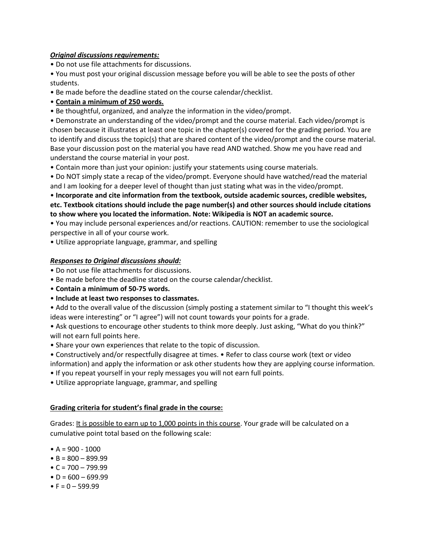## *Original discussions requirements:*

• Do not use file attachments for discussions.

• You must post your original discussion message before you will be able to see the posts of other students.

• Be made before the deadline stated on the course calendar/checklist.

## • **Contain a minimum of 250 words.**

• Be thoughtful, organized, and analyze the information in the video/prompt.

• Demonstrate an understanding of the video/prompt and the course material. Each video/prompt is chosen because it illustrates at least one topic in the chapter(s) covered for the grading period. You are to identify and discuss the topic(s) that are shared content of the video/prompt and the course material. Base your discussion post on the material you have read AND watched. Show me you have read and understand the course material in your post.

• Contain more than just your opinion: justify your statements using course materials.

• Do NOT simply state a recap of the video/prompt. Everyone should have watched/read the material and I am looking for a deeper level of thought than just stating what was in the video/prompt.

• **Incorporate and cite information from the textbook, outside academic sources, credible websites, etc. Textbook citations should include the page number(s) and other sources should include citations to show where you located the information. Note: Wikipedia is NOT an academic source.** 

• You may include personal experiences and/or reactions. CAUTION: remember to use the sociological perspective in all of your course work.

• Utilize appropriate language, grammar, and spelling

## *Responses to Original discussions should:*

• Do not use file attachments for discussions.

- Be made before the deadline stated on the course calendar/checklist.
- **Contain a minimum of 50-75 words.**
- **Include at least two responses to classmates.**

• Add to the overall value of the discussion (simply posting a statement similar to "I thought this week's ideas were interesting" or "I agree") will not count towards your points for a grade.

• Ask questions to encourage other students to think more deeply. Just asking, "What do you think?" will not earn full points here.

• Share your own experiences that relate to the topic of discussion.

• Constructively and/or respectfully disagree at times. • Refer to class course work (text or video information) and apply the information or ask other students how they are applying course information.

- If you repeat yourself in your reply messages you will not earn full points.
- Utilize appropriate language, grammar, and spelling

## **Grading criteria for student's final grade in the course:**

Grades: It is possible to earn up to 1,000 points in this course. Your grade will be calculated on a cumulative point total based on the following scale:

- $A = 900 1000$
- $\bullet$  B = 800 899.99
- $\bullet$  C = 700 799.99
- $\bullet$  D = 600 699.99
- $\bullet$  F = 0 599.99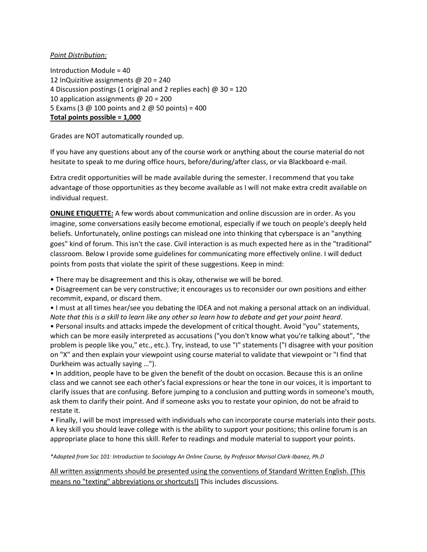#### *Point Distribution:*

Introduction Module = 40 12 InQuizitive assignments @ 20 = 240 4 Discussion postings (1 original and 2 replies each) @ 30 = 120 10 application assignments @ 20 = 200 5 Exams (3  $\omega$  100 points and 2  $\omega$  50 points) = 400 **Total points possible = 1,000**

Grades are NOT automatically rounded up.

If you have any questions about any of the course work or anything about the course material do not hesitate to speak to me during office hours, before/during/after class, or via Blackboard e-mail.

Extra credit opportunities will be made available during the semester. I recommend that you take advantage of those opportunities as they become available as I will not make extra credit available on individual request.

**ONLINE ETIQUETTE:** A few words about communication and online discussion are in order. As you imagine, some conversations easily become emotional, especially if we touch on people's deeply held beliefs. Unfortunately, online postings can mislead one into thinking that cyberspace is an "anything goes" kind of forum. This isn't the case. Civil interaction is as much expected here as in the "traditional" classroom. Below I provide some guidelines for communicating more effectively online. I will deduct points from posts that violate the spirit of these suggestions. Keep in mind:

• There may be disagreement and this is okay, otherwise we will be bored.

• Disagreement can be very constructive; it encourages us to reconsider our own positions and either recommit, expand, or discard them.

• I must at all times hear/see you debating the IDEA and not making a personal attack on an individual. *Note that this is a skill to learn like any other so learn how to debate and get your point heard*.

• Personal insults and attacks impede the development of critical thought. Avoid "you" statements, which can be more easily interpreted as accusations ("you don't know what you're talking about", "the problem is people like you," etc., etc.). Try, instead, to use "I" statements ("I disagree with your position on "X" and then explain your viewpoint using course material to validate that viewpoint or "I find that Durkheim was actually saying …").

• In addition, people have to be given the benefit of the doubt on occasion. Because this is an online class and we cannot see each other's facial expressions or hear the tone in our voices, it is important to clarify issues that are confusing. Before jumping to a conclusion and putting words in someone's mouth, ask them to clarify their point. And if someone asks you to restate your opinion, do not be afraid to restate it.

• Finally, I will be most impressed with individuals who can incorporate course materials into their posts. A key skill you should leave college with is the ability to support your positions; this online forum is an appropriate place to hone this skill. Refer to readings and module material to support your points.

*\*Adapted from Soc 101: Introduction to Sociology An Online Course, by Professor Marisol Clark-Ibanez, Ph.D*

All written assignments should be presented using the conventions of Standard Written English. (This means no "texting" abbreviations or shortcuts!) This includes discussions.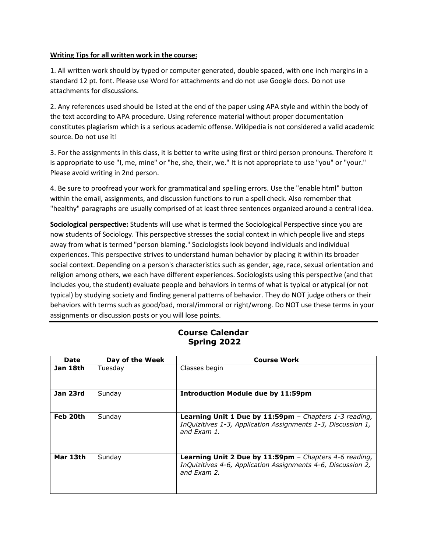### **Writing Tips for all written work in the course:**

1. All written work should by typed or computer generated, double spaced, with one inch margins in a standard 12 pt. font. Please use Word for attachments and do not use Google docs. Do not use attachments for discussions.

2. Any references used should be listed at the end of the paper using APA style and within the body of the text according to APA procedure. Using reference material without proper documentation constitutes plagiarism which is a serious academic offense. Wikipedia is not considered a valid academic source. Do not use it!

3. For the assignments in this class, it is better to write using first or third person pronouns. Therefore it is appropriate to use "I, me, mine" or "he, she, their, we." It is not appropriate to use "you" or "your." Please avoid writing in 2nd person.

4. Be sure to proofread your work for grammatical and spelling errors. Use the "enable html" button within the email, assignments, and discussion functions to run a spell check. Also remember that "healthy" paragraphs are usually comprised of at least three sentences organized around a central idea.

**Sociological perspective:** Students will use what is termed the Sociological Perspective since you are now students of Sociology. This perspective stresses the social context in which people live and steps away from what is termed "person blaming." Sociologists look beyond individuals and individual experiences. This perspective strives to understand human behavior by placing it within its broader social context. Depending on a person's characteristics such as gender, age, race, sexual orientation and religion among others, we each have different experiences. Sociologists using this perspective (and that includes you, the student) evaluate people and behaviors in terms of what is typical or atypical (or not typical) by studying society and finding general patterns of behavior. They do NOT judge others or their behaviors with terms such as good/bad, moral/immoral or right/wrong. Do NOT use these terms in your assignments or discussion posts or you will lose points.

## **Course Calendar Spring 2022**

| <b>Date</b> | Day of the Week | <b>Course Work</b>                                                                                                                    |
|-------------|-----------------|---------------------------------------------------------------------------------------------------------------------------------------|
| Jan 18th    | Tuesday         | Classes begin                                                                                                                         |
| Jan 23rd    | Sunday          | <b>Introduction Module due by 11:59pm</b>                                                                                             |
| Feb 20th    | Sunday          | Learning Unit 1 Due by 11:59pm - Chapters 1-3 reading,<br>InQuizitives 1-3, Application Assignments 1-3, Discussion 1,<br>and Fxam 1. |
| Mar 13th    | Sunday          | Learning Unit 2 Due by 11:59pm - Chapters 4-6 reading,<br>InQuizitives 4-6, Application Assignments 4-6, Discussion 2,<br>and Fxam 2. |